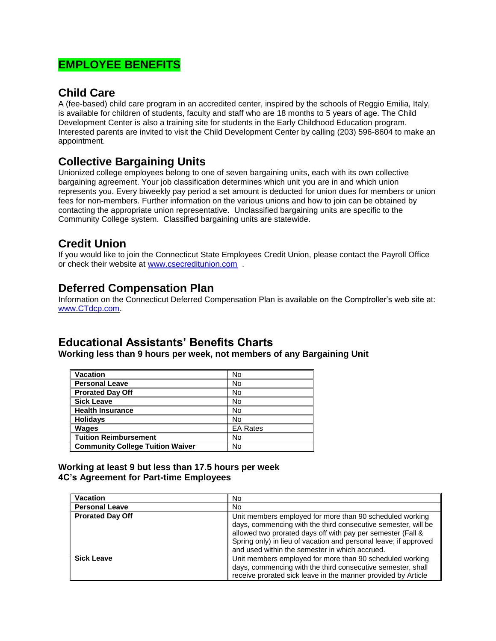## **EMPLOYEE BENEFITS**

## **Child Care**

A (fee-based) child care program in an accredited center, inspired by the schools of Reggio Emilia, Italy, is available for children of students, faculty and staff who are 18 months to 5 years of age. The Child Development Center is also a training site for students in the Early Childhood Education program. Interested parents are invited to visit the Child Development Center by calling (203) 596-8604 to make an appointment.

# **Collective Bargaining Units**

Unionized college employees belong to one of seven bargaining units, each with its own collective bargaining agreement. Your job classification determines which unit you are in and which union represents you. Every biweekly pay period a set amount is deducted for union dues for members or union fees for non-members. Further information on the various unions and how to join can be obtained by contacting the appropriate union representative. Unclassified bargaining units are specific to the Community College system. Classified bargaining units are statewide.

# **Credit Union**

If you would like to join the Connecticut State Employees Credit Union, please contact the Payroll Office or check their website at [www.csecreditunion.com](http://www.csecreditunion.com/) .

## **Deferred Compensation Plan**

Information on the Connecticut Deferred Compensation Plan is available on the Comptroller's web site at: [www.CTdcp.com.](http://www.ctdcp.com/)

# **Educational Assistants' Benefits Charts**

**Working less than 9 hours per week, not members of any Bargaining Unit**

| <b>Vacation</b>                         | No              |
|-----------------------------------------|-----------------|
| <b>Personal Leave</b>                   | No              |
| <b>Prorated Day Off</b>                 | No              |
| <b>Sick Leave</b>                       | No              |
| <b>Health Insurance</b>                 | No              |
| <b>Holidays</b>                         | No              |
| Wages                                   | <b>EA Rates</b> |
| <b>Tuition Reimbursement</b>            | No              |
| <b>Community College Tuition Waiver</b> | No              |

### **Working at least 9 but less than 17.5 hours per week 4C's Agreement for Part-time Employees**

| <b>Vacation</b>         | No.                                                                                                                                                                                                                                                                                                            |
|-------------------------|----------------------------------------------------------------------------------------------------------------------------------------------------------------------------------------------------------------------------------------------------------------------------------------------------------------|
| <b>Personal Leave</b>   | No.                                                                                                                                                                                                                                                                                                            |
| <b>Prorated Day Off</b> | Unit members employed for more than 90 scheduled working<br>days, commencing with the third consecutive semester, will be<br>allowed two prorated days off with pay per semester (Fall &<br>Spring only) in lieu of vacation and personal leave; if approved<br>and used within the semester in which accrued. |
| <b>Sick Leave</b>       | Unit members employed for more than 90 scheduled working<br>days, commencing with the third consecutive semester, shall<br>receive prorated sick leave in the manner provided by Article                                                                                                                       |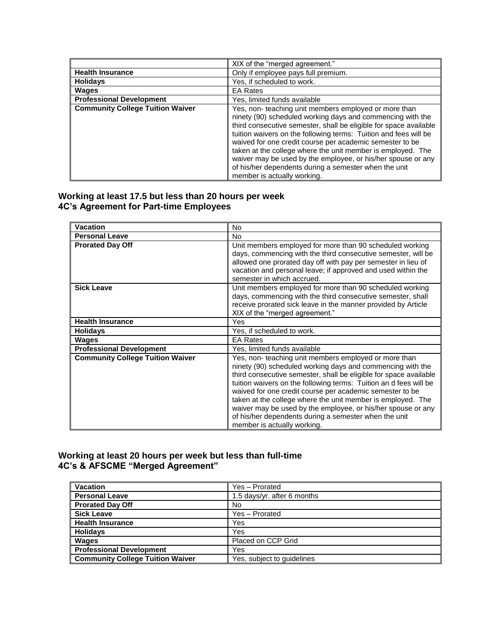|                                         | XIX of the "merged agreement."                                                                                                                                                                                                                                                                                                                                                                                                                                                                                                                  |  |
|-----------------------------------------|-------------------------------------------------------------------------------------------------------------------------------------------------------------------------------------------------------------------------------------------------------------------------------------------------------------------------------------------------------------------------------------------------------------------------------------------------------------------------------------------------------------------------------------------------|--|
| <b>Health Insurance</b>                 | Only if employee pays full premium.                                                                                                                                                                                                                                                                                                                                                                                                                                                                                                             |  |
| <b>Holidays</b>                         | Yes, if scheduled to work.                                                                                                                                                                                                                                                                                                                                                                                                                                                                                                                      |  |
| Wages                                   | <b>EA Rates</b>                                                                                                                                                                                                                                                                                                                                                                                                                                                                                                                                 |  |
| <b>Professional Development</b>         | Yes, limited funds available                                                                                                                                                                                                                                                                                                                                                                                                                                                                                                                    |  |
| <b>Community College Tuition Waiver</b> | Yes, non- teaching unit members employed or more than<br>ninety (90) scheduled working days and commencing with the<br>third consecutive semester, shall be eligible for space available<br>tuition waivers on the following terms: Tuition and fees will be<br>waived for one credit course per academic semester to be<br>taken at the college where the unit member is employed. The<br>waiver may be used by the employee, or his/her spouse or any<br>of his/her dependents during a semester when the unit<br>member is actually working. |  |

### **Working at least 17.5 but less than 20 hours per week 4C's Agreement for Part-time Employees**

| <b>Vacation</b>                         | <b>No</b>                                                                                                                                                                                                                                                                                                                                                                                                                                                                                                                                        |
|-----------------------------------------|--------------------------------------------------------------------------------------------------------------------------------------------------------------------------------------------------------------------------------------------------------------------------------------------------------------------------------------------------------------------------------------------------------------------------------------------------------------------------------------------------------------------------------------------------|
| <b>Personal Leave</b>                   | <b>No</b>                                                                                                                                                                                                                                                                                                                                                                                                                                                                                                                                        |
| <b>Prorated Day Off</b>                 | Unit members employed for more than 90 scheduled working<br>days, commencing with the third consecutive semester, will be<br>allowed one prorated day off with pay per semester in lieu of<br>vacation and personal leave; if approved and used within the<br>semester in which accrued.                                                                                                                                                                                                                                                         |
| <b>Sick Leave</b>                       | Unit members employed for more than 90 scheduled working<br>days, commencing with the third consecutive semester, shall<br>receive prorated sick leave in the manner provided by Article<br>XIX of the "merged agreement."                                                                                                                                                                                                                                                                                                                       |
| <b>Health Insurance</b>                 | Yes                                                                                                                                                                                                                                                                                                                                                                                                                                                                                                                                              |
| <b>Holidays</b>                         | Yes, if scheduled to work.                                                                                                                                                                                                                                                                                                                                                                                                                                                                                                                       |
| <b>Wages</b>                            | <b>EA Rates</b>                                                                                                                                                                                                                                                                                                                                                                                                                                                                                                                                  |
| <b>Professional Development</b>         | Yes, limited funds available                                                                                                                                                                                                                                                                                                                                                                                                                                                                                                                     |
| <b>Community College Tuition Waiver</b> | Yes, non- teaching unit members employed or more than<br>ninety (90) scheduled working days and commencing with the<br>third consecutive semester, shall be eligible for space available<br>tuition waivers on the following terms: Tuition an d fees will be<br>waived for one credit course per academic semester to be<br>taken at the college where the unit member is employed. The<br>waiver may be used by the employee, or his/her spouse or any<br>of his/her dependents during a semester when the unit<br>member is actually working. |

### **Working at least 20 hours per week but less than full-time 4C's & AFSCME "Merged Agreement"**

| Vacation                         | Yes - Prorated              |
|----------------------------------|-----------------------------|
| <b>Personal Leave</b>            | 1.5 days/yr. after 6 months |
| <b>Prorated Day Off</b>          | No                          |
| <b>Sick Leave</b>                | Yes - Prorated              |
| <b>Health Insurance</b>          | Yes                         |
| <b>Holidays</b>                  | Yes                         |
| <b>Wages</b>                     | Placed on CCP Grid          |
| <b>Professional Development</b>  | Yes                         |
| Community College Tuition Waiver | Yes, subject to quidelines  |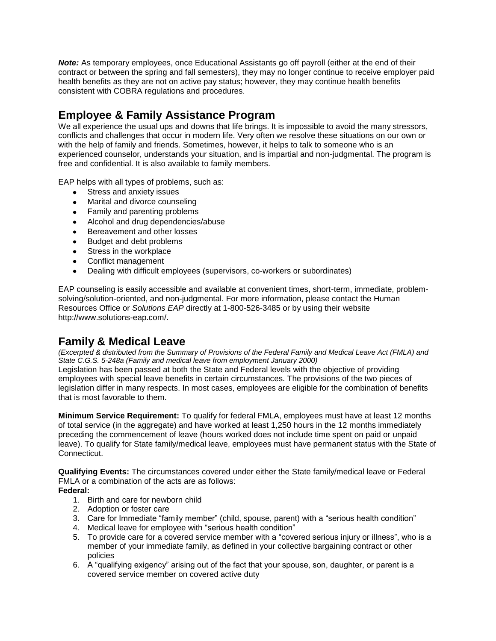*Note:* As temporary employees, once Educational Assistants go off payroll (either at the end of their contract or between the spring and fall semesters), they may no longer continue to receive employer paid health benefits as they are not on active pay status; however, they may continue health benefits consistent with COBRA regulations and procedures.

# **Employee & Family Assistance Program**

We all experience the usual ups and downs that life brings. It is impossible to avoid the many stressors, conflicts and challenges that occur in modern life. Very often we resolve these situations on our own or with the help of family and friends. Sometimes, however, it helps to talk to someone who is an experienced counselor, understands your situation, and is impartial and non-judgmental. The program is free and confidential. It is also available to family members.

EAP helps with all types of problems, such as:

- Stress and anxiety issues
- Marital and divorce counseling
- Family and parenting problems
- Alcohol and drug dependencies/abuse
- Bereavement and other losses
- Budget and debt problems
- Stress in the workplace
- Conflict management
- Dealing with difficult employees (supervisors, co-workers or subordinates)

EAP counseling is easily accessible and available at convenient times, short-term, immediate, problemsolving/solution-oriented, and non-judgmental. For more information, please contact the Human Resources Office or *Solutions EAP* directly at 1-800-526-3485 or by using their website http://www.solutions-eap.com/.

# **Family & Medical Leave**

*(Excerpted & distributed from the Summary of Provisions of the Federal Family and Medical Leave Act (FMLA) and State C.G.S. 5-248a (Family and medical leave from employment January 2000)* Legislation has been passed at both the State and Federal levels with the objective of providing employees with special leave benefits in certain circumstances. The provisions of the two pieces of legislation differ in many respects. In most cases, employees are eligible for the combination of benefits that is most favorable to them.

**Minimum Service Requirement:** To qualify for federal FMLA, employees must have at least 12 months of total service (in the aggregate) and have worked at least 1,250 hours in the 12 months immediately preceding the commencement of leave (hours worked does not include time spent on paid or unpaid leave). To qualify for State family/medical leave, employees must have permanent status with the State of Connecticut.

**Qualifying Events:** The circumstances covered under either the State family/medical leave or Federal FMLA or a combination of the acts are as follows:

### **Federal:**

- 1. Birth and care for newborn child
- 2. Adoption or foster care
- 3. Care for Immediate "family member" (child, spouse, parent) with a "serious health condition"
- 4. Medical leave for employee with "serious health condition"
- 5. To provide care for a covered service member with a "covered serious injury or illness", who is a member of your immediate family, as defined in your collective bargaining contract or other policies
- 6. A "qualifying exigency" arising out of the fact that your spouse, son, daughter, or parent is a covered service member on covered active duty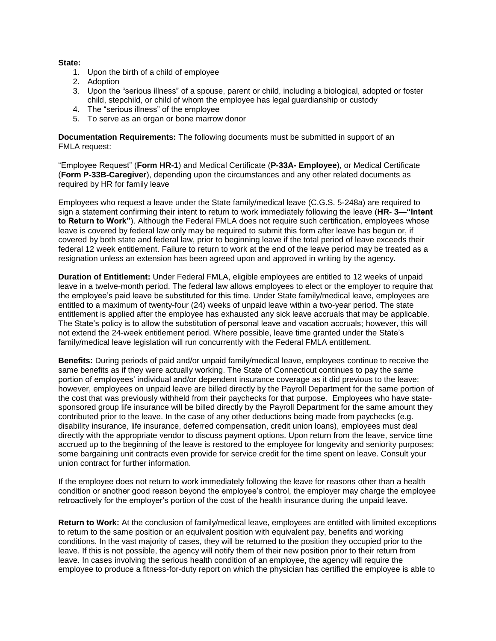#### **State:**

- 1. Upon the birth of a child of employee
- 2. Adoption
- 3. Upon the "serious illness" of a spouse, parent or child, including a biological, adopted or foster child, stepchild, or child of whom the employee has legal guardianship or custody
- 4. The "serious illness" of the employee
- 5. To serve as an organ or bone marrow donor

**Documentation Requirements:** The following documents must be submitted in support of an FMLA request:

"Employee Request" (**Form HR-1**) and Medical Certificate (**P-33A- Employee**), or Medical Certificate (**Form P-33B-Caregiver**), depending upon the circumstances and any other related documents as required by HR for family leave

Employees who request a leave under the State family/medical leave (C.G.S. 5-248a) are required to sign a statement confirming their intent to return to work immediately following the leave (**HR- 3—"Intent to Return to Work"**). Although the Federal FMLA does not require such certification, employees whose leave is covered by federal law only may be required to submit this form after leave has begun or, if covered by both state and federal law, prior to beginning leave if the total period of leave exceeds their federal 12 week entitlement. Failure to return to work at the end of the leave period may be treated as a resignation unless an extension has been agreed upon and approved in writing by the agency.

**Duration of Entitlement:** Under Federal FMLA, eligible employees are entitled to 12 weeks of unpaid leave in a twelve-month period. The federal law allows employees to elect or the employer to require that the employee's paid leave be substituted for this time. Under State family/medical leave, employees are entitled to a maximum of twenty-four (24) weeks of unpaid leave within a two-year period. The state entitlement is applied after the employee has exhausted any sick leave accruals that may be applicable. The State's policy is to allow the substitution of personal leave and vacation accruals; however, this will not extend the 24-week entitlement period. Where possible, leave time granted under the State's family/medical leave legislation will run concurrently with the Federal FMLA entitlement.

**Benefits:** During periods of paid and/or unpaid family/medical leave, employees continue to receive the same benefits as if they were actually working. The State of Connecticut continues to pay the same portion of employees' individual and/or dependent insurance coverage as it did previous to the leave; however, employees on unpaid leave are billed directly by the Payroll Department for the same portion of the cost that was previously withheld from their paychecks for that purpose. Employees who have statesponsored group life insurance will be billed directly by the Payroll Department for the same amount they contributed prior to the leave. In the case of any other deductions being made from paychecks (e.g. disability insurance, life insurance, deferred compensation, credit union loans), employees must deal directly with the appropriate vendor to discuss payment options. Upon return from the leave, service time accrued up to the beginning of the leave is restored to the employee for longevity and seniority purposes; some bargaining unit contracts even provide for service credit for the time spent on leave. Consult your union contract for further information.

If the employee does not return to work immediately following the leave for reasons other than a health condition or another good reason beyond the employee's control, the employer may charge the employee retroactively for the employer's portion of the cost of the health insurance during the unpaid leave.

**Return to Work:** At the conclusion of family/medical leave, employees are entitled with limited exceptions to return to the same position or an equivalent position with equivalent pay, benefits and working conditions. In the vast majority of cases, they will be returned to the position they occupied prior to the leave. If this is not possible, the agency will notify them of their new position prior to their return from leave. In cases involving the serious health condition of an employee, the agency will require the employee to produce a fitness-for-duty report on which the physician has certified the employee is able to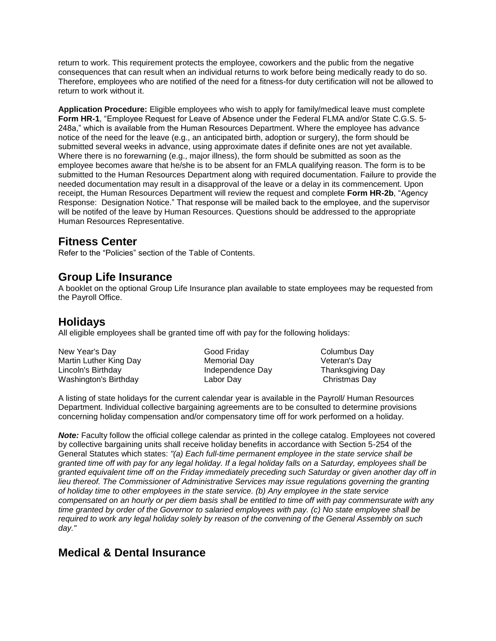return to work. This requirement protects the employee, coworkers and the public from the negative consequences that can result when an individual returns to work before being medically ready to do so. Therefore, employees who are notified of the need for a fitness-for duty certification will not be allowed to return to work without it.

**Application Procedure:** Eligible employees who wish to apply for family/medical leave must complete **Form HR-1**, "Employee Request for Leave of Absence under the Federal FLMA and/or State C.G.S. 5- 248a," which is available from the Human Resources Department. Where the employee has advance notice of the need for the leave (e.g., an anticipated birth, adoption or surgery), the form should be submitted several weeks in advance, using approximate dates if definite ones are not yet available. Where there is no forewarning (e.g., major illness), the form should be submitted as soon as the employee becomes aware that he/she is to be absent for an FMLA qualifying reason. The form is to be submitted to the Human Resources Department along with required documentation. Failure to provide the needed documentation may result in a disapproval of the leave or a delay in its commencement. Upon receipt, the Human Resources Department will review the request and complete **Form HR-2b**, "Agency Response: Designation Notice." That response will be mailed back to the employee, and the supervisor will be notifed of the leave by Human Resources. Questions should be addressed to the appropriate Human Resources Representative.

## **Fitness Center**

Refer to the "Policies" section of the Table of Contents.

## **Group Life Insurance**

A booklet on the optional Group Life Insurance plan available to state employees may be requested from the Payroll Office.

## **Holidays**

All eligible employees shall be granted time off with pay for the following holidays:

| New Year's Day         | Good Friday      |  |
|------------------------|------------------|--|
| Martin Luther King Day | Memorial Day     |  |
| Lincoln's Birthdav     | Independence Day |  |
| Washington's Birthday  | Labor Dav        |  |

Columbus Day /eteran's Day **Thanksgiving Day** Christmas Day

A listing of state holidays for the current calendar year is available in the Payroll/ Human Resources Department. Individual collective bargaining agreements are to be consulted to determine provisions concerning holiday compensation and/or compensatory time off for work performed on a holiday.

**Note:** Faculty follow the official college calendar as printed in the college catalog. Employees not covered by collective bargaining units shall receive holiday benefits in accordance with Section 5-254 of the General Statutes which states: *"(a) Each full-time permanent employee in the state service shall be granted time off with pay for any legal holiday. If a legal holiday falls on a Saturday, employees shall be granted equivalent time off on the Friday immediately preceding such Saturday or given another day off in lieu thereof. The Commissioner of Administrative Services may issue regulations governing the granting of holiday time to other employees in the state service. (b) Any employee in the state service compensated on an hourly or per diem basis shall be entitled to time off with pay commensurate with any time granted by order of the Governor to salaried employees with pay. (c) No state employee shall be required to work any legal holiday solely by reason of the convening of the General Assembly on such day."*

## **Medical & Dental Insurance**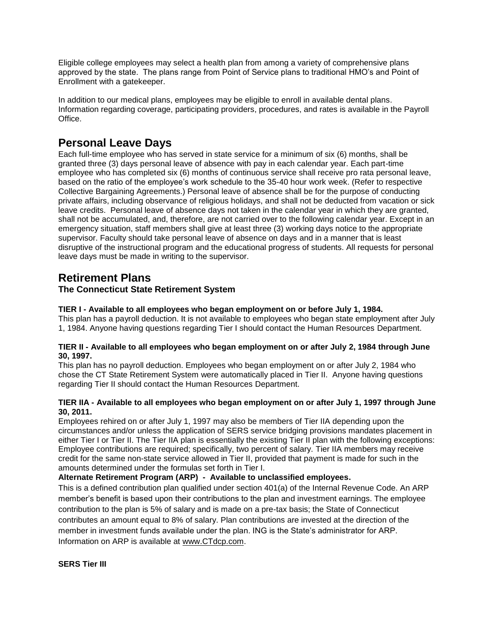Eligible college employees may select a health plan from among a variety of comprehensive plans approved by the state. The plans range from Point of Service plans to traditional HMO's and Point of Enrollment with a gatekeeper.

In addition to our medical plans, employees may be eligible to enroll in available dental plans. Information regarding coverage, participating providers, procedures, and rates is available in the Payroll Office.

# **Personal Leave Days**

Each full-time employee who has served in state service for a minimum of six (6) months, shall be granted three (3) days personal leave of absence with pay in each calendar year. Each part-time employee who has completed six (6) months of continuous service shall receive pro rata personal leave, based on the ratio of the employee's work schedule to the 35-40 hour work week. (Refer to respective Collective Bargaining Agreements.) Personal leave of absence shall be for the purpose of conducting private affairs, including observance of religious holidays, and shall not be deducted from vacation or sick leave credits. Personal leave of absence days not taken in the calendar year in which they are granted, shall not be accumulated, and, therefore, are not carried over to the following calendar year. Except in an emergency situation, staff members shall give at least three (3) working days notice to the appropriate supervisor. Faculty should take personal leave of absence on days and in a manner that is least disruptive of the instructional program and the educational progress of students. All requests for personal leave days must be made in writing to the supervisor.

# **Retirement Plans**

### **The Connecticut State Retirement System**

### **TIER I - Available to all employees who began employment on or before July 1, 1984.**

This plan has a payroll deduction. It is not available to employees who began state employment after July 1, 1984. Anyone having questions regarding Tier I should contact the Human Resources Department.

### **TIER II - Available to all employees who began employment on or after July 2, 1984 through June 30, 1997.**

This plan has no payroll deduction. Employees who began employment on or after July 2, 1984 who chose the CT State Retirement System were automatically placed in Tier II. Anyone having questions regarding Tier II should contact the Human Resources Department.

### **TIER IIA - Available to all employees who began employment on or after July 1, 1997 through June 30, 2011.**

Employees rehired on or after July 1, 1997 may also be members of Tier IIA depending upon the circumstances and/or unless the application of SERS service bridging provisions mandates placement in either Tier I or Tier II. The Tier IIA plan is essentially the existing Tier II plan with the following exceptions: Employee contributions are required; specifically, two percent of salary. Tier IIA members may receive credit for the same non-state service allowed in Tier II, provided that payment is made for such in the amounts determined under the formulas set forth in Tier I.

### **Alternate Retirement Program (ARP) - Available to unclassified employees.**

This is a defined contribution plan qualified under section 401(a) of the Internal Revenue Code. An ARP member's benefit is based upon their contributions to the plan and investment earnings. The employee contribution to the plan is 5% of salary and is made on a pre-tax basis; the State of Connecticut contributes an amount equal to 8% of salary. Plan contributions are invested at the direction of the member in investment funds available under the plan. ING is the State's administrator for ARP. Information on ARP is available at [www.CTdcp.com.](http://www.ctdcp.com/)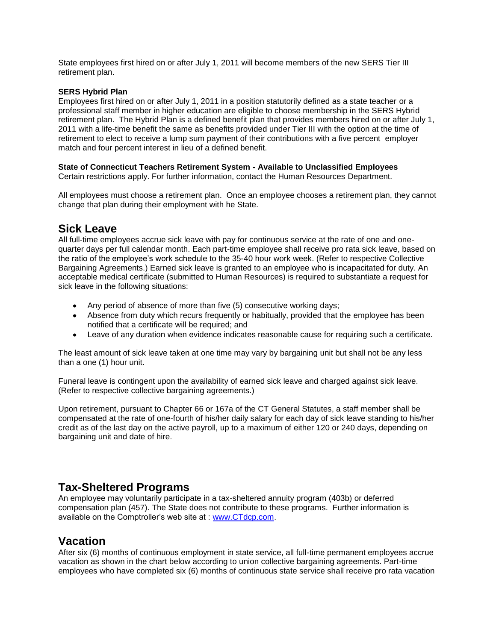State employees first hired on or after July 1, 2011 will become members of the new SERS Tier III retirement plan.

### **SERS Hybrid Plan**

Employees first hired on or after July 1, 2011 in a position statutorily defined as a state teacher or a professional staff member in higher education are eligible to choose membership in the SERS Hybrid retirement plan. The Hybrid Plan is a defined benefit plan that provides members hired on or after July 1, 2011 with a life-time benefit the same as benefits provided under Tier III with the option at the time of retirement to elect to receive a lump sum payment of their contributions with a five percent employer match and four percent interest in lieu of a defined benefit.

### **State of Connecticut Teachers Retirement System - Available to Unclassified Employees**

Certain restrictions apply. For further information, contact the Human Resources Department.

All employees must choose a retirement plan. Once an employee chooses a retirement plan, they cannot change that plan during their employment with he State.

## **Sick Leave**

All full-time employees accrue sick leave with pay for continuous service at the rate of one and onequarter days per full calendar month. Each part-time employee shall receive pro rata sick leave, based on the ratio of the employee's work schedule to the 35-40 hour work week. (Refer to respective Collective Bargaining Agreements.) Earned sick leave is granted to an employee who is incapacitated for duty. An acceptable medical certificate (submitted to Human Resources) is required to substantiate a request for sick leave in the following situations:

- Any period of absence of more than five (5) consecutive working days;
- Absence from duty which recurs frequently or habitually, provided that the employee has been notified that a certificate will be required; and
- Leave of any duration when evidence indicates reasonable cause for requiring such a certificate.

The least amount of sick leave taken at one time may vary by bargaining unit but shall not be any less than a one (1) hour unit.

Funeral leave is contingent upon the availability of earned sick leave and charged against sick leave. (Refer to respective collective bargaining agreements.)

Upon retirement, pursuant to Chapter 66 or 167a of the CT General Statutes, a staff member shall be compensated at the rate of one-fourth of his/her daily salary for each day of sick leave standing to his/her credit as of the last day on the active payroll, up to a maximum of either 120 or 240 days, depending on bargaining unit and date of hire.

## **Tax-Sheltered Programs**

An employee may voluntarily participate in a tax-sheltered annuity program (403b) or deferred compensation plan (457). The State does not contribute to these programs. Further information is available on the Comptroller's web site at : [www.CTdcp.com.](http://www.ctdcp.com/)

## **Vacation**

After six (6) months of continuous employment in state service, all full-time permanent employees accrue vacation as shown in the chart below according to union collective bargaining agreements. Part-time employees who have completed six (6) months of continuous state service shall receive pro rata vacation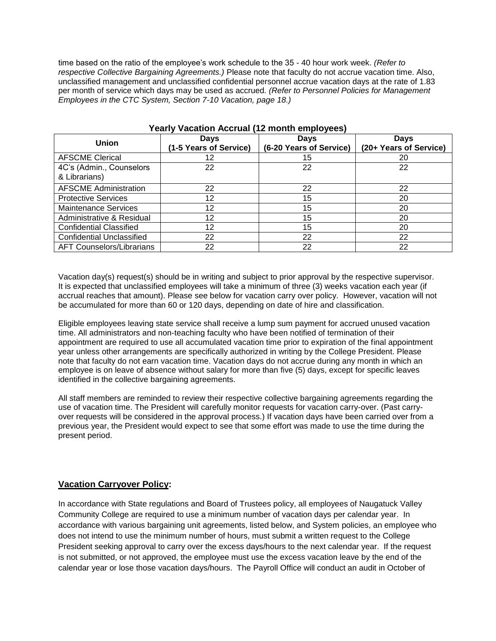time based on the ratio of the employee's work schedule to the 35 - 40 hour work week. *(Refer to respective Collective Bargaining Agreements.)* Please note that faculty do not accrue vacation time. Also, unclassified management and unclassified confidential personnel accrue vacation days at the rate of 1.83 per month of service which days may be used as accrued*. (Refer to Personnel Policies for Management Employees in the CTC System, Section 7-10 Vacation, page 18.)*

| <b>Union</b>                              | <b>Days</b><br>(1-5 Years of Service) | <b>Days</b><br>(6-20 Years of Service) | Days<br>(20+ Years of Service) |
|-------------------------------------------|---------------------------------------|----------------------------------------|--------------------------------|
| <b>AFSCME Clerical</b>                    | 12                                    | 15                                     | 20                             |
| 4C's (Admin., Counselors<br>& Librarians) | 22                                    | 22                                     | 22                             |
| <b>AFSCME Administration</b>              | 22                                    | 22                                     | 22                             |
| <b>Protective Services</b>                | 12                                    | 15                                     | 20                             |
| <b>Maintenance Services</b>               | 12                                    | 15                                     | 20                             |
| Administrative & Residual                 | 12                                    | 15                                     | 20                             |
| <b>Confidential Classified</b>            | 12                                    | 15                                     | 20                             |
| Confidential Unclassified                 | 22                                    | 22                                     | 22                             |
| <b>AFT Counselors/Librarians</b>          | 22                                    | 22                                     | 22                             |

### **Yearly Vacation Accrual (12 month employees)**

Vacation day(s) request(s) should be in writing and subject to prior approval by the respective supervisor. It is expected that unclassified employees will take a minimum of three (3) weeks vacation each year (if accrual reaches that amount). Please see below for vacation carry over policy. However, vacation will not be accumulated for more than 60 or 120 days, depending on date of hire and classification.

Eligible employees leaving state service shall receive a lump sum payment for accrued unused vacation time. All administrators and non-teaching faculty who have been notified of termination of their appointment are required to use all accumulated vacation time prior to expiration of the final appointment year unless other arrangements are specifically authorized in writing by the College President. Please note that faculty do not earn vacation time. Vacation days do not accrue during any month in which an employee is on leave of absence without salary for more than five (5) days, except for specific leaves identified in the collective bargaining agreements.

All staff members are reminded to review their respective collective bargaining agreements regarding the use of vacation time. The President will carefully monitor requests for vacation carry-over. (Past carryover requests will be considered in the approval process.) If vacation days have been carried over from a previous year, the President would expect to see that some effort was made to use the time during the present period.

### **Vacation Carryover Policy:**

In accordance with State regulations and Board of Trustees policy, all employees of Naugatuck Valley Community College are required to use a minimum number of vacation days per calendar year. In accordance with various bargaining unit agreements, listed below, and System policies, an employee who does not intend to use the minimum number of hours, must submit a written request to the College President seeking approval to carry over the excess days/hours to the next calendar year. If the request is not submitted, or not approved, the employee must use the excess vacation leave by the end of the calendar year or lose those vacation days/hours. The Payroll Office will conduct an audit in October of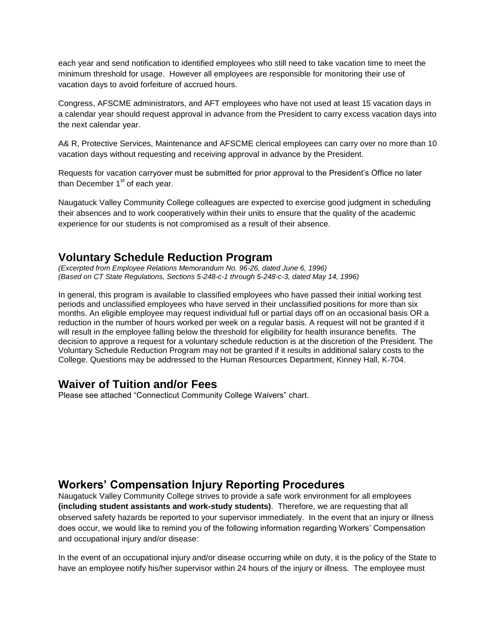each year and send notification to identified employees who still need to take vacation time to meet the minimum threshold for usage. However all employees are responsible for monitoring their use of vacation days to avoid forfeiture of accrued hours.

Congress, AFSCME administrators, and AFT employees who have not used at least 15 vacation days in a calendar year should request approval in advance from the President to carry excess vacation days into the next calendar year.

A& R, Protective Services, Maintenance and AFSCME clerical employees can carry over no more than 10 vacation days without requesting and receiving approval in advance by the President.

Requests for vacation carryover must be submitted for prior approval to the President's Office no later than December  $1<sup>st</sup>$  of each year.

Naugatuck Valley Community College colleagues are expected to exercise good judgment in scheduling their absences and to work cooperatively within their units to ensure that the quality of the academic experience for our students is not compromised as a result of their absence.

## **Voluntary Schedule Reduction Program**

*(Excerpted from Employee Relations Memorandum No. 96-26, dated June 6, 1996) (Based on CT State Regulations, Sections 5-248-c-1 through 5-248-c-3, dated May 14, 1996)*

In general, this program is available to classified employees who have passed their initial working test periods and unclassified employees who have served in their unclassified positions for more than six months. An eligible employee may request individual full or partial days off on an occasional basis OR a reduction in the number of hours worked per week on a regular basis. A request will not be granted if it will result in the employee falling below the threshold for eligibility for health insurance benefits. The decision to approve a request for a voluntary schedule reduction is at the discretion of the President. The Voluntary Schedule Reduction Program may not be granted if it results in additional salary costs to the College. Questions may be addressed to the Human Resources Department, Kinney Hall, K-704.

## **Waiver of Tuition and/or Fees**

Please see attached "Connecticut Community College Waivers" chart.

## **Workers' Compensation Injury Reporting Procedures**

Naugatuck Valley Community College strives to provide a safe work environment for all employees **(including student assistants and work-study students)**. Therefore, we are requesting that all observed safety hazards be reported to your supervisor immediately. In the event that an injury or illness does occur, we would like to remind you of the following information regarding Workers' Compensation and occupational injury and/or disease:

In the event of an occupational injury and/or disease occurring while on duty, it is the policy of the State to have an employee notify his/her supervisor within 24 hours of the injury or illness. The employee must